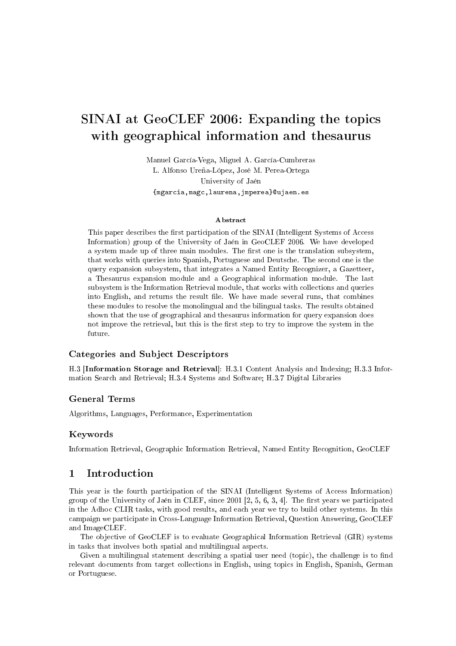# SINAI at GeoCLEF 2006: Expanding the topics with geographical information and thesaurus

Manuel García-Vega, Miguel A. García-Cumbreras L. Alfonso Ureña-López, José M. Perea-Ortega University of Jaén {mgarcia,magc,laurena,jmperea}@ujaen.es

#### Abstract

This paper describes the first participation of the SINAI (Intelligent Systems of Access Information) group of the University of Jaén in GeoCLEF 2006. We have developed a system made up of three main modules. The first one is the translation subsystem, that works with queries into Spanish, Portuguese and Deutsche. The second one is the query expansion subsystem, that integrates a Named Entity Recognizer, a Gazetteer, a Thesaurus expansion module and a Geographical information module. The last subsystem is the Information Retrieval module, that works with collections and queries into English, and returns the result file. We have made several runs, that combines these modules to resolve the monolingual and the bilingual tasks. The results obtained shown that the use of geographical and thesaurus information for query expansion does not improve the retrieval, but this is the first step to try to improve the system in the future.

# Categories and Subject Descriptors

H.3 [Information Storage and Retrieval]: H.3.1 Content Analysis and Indexing; H.3.3 Information Search and Retrieval; H.3.4 Systems and Software; H.3.7 Digital Libraries

#### General Terms

Algorithms, Languages, Performance, Experimentation

#### Keywords

Information Retrieval, Geographic Information Retrieval, Named Entity Recognition, GeoCLEF

# 1 Introduction

This year is the fourth participation of the SINAI (Intelligent Systems of Access Information) group of the University of Jaén in CLEF, since  $2001$  [2, 5, 6, 3, 4]. The first years we participated in the Adhoc CLIR tasks, with good results, and each year we try to build other systems. In this campaign we participate in Cross-Language Information Retrieval, Question Answering, GeoCLEF and ImageCLEF.

The objective of GeoCLEF is to evaluate Geographical Information Retrieval (GIR) systems in tasks that involves both spatial and multilingual aspects.

Given a multilingual statement describing a spatial user need (topic), the challenge is to find relevant documents from target collections in English, using topics in English, Spanish, German or Portuguese.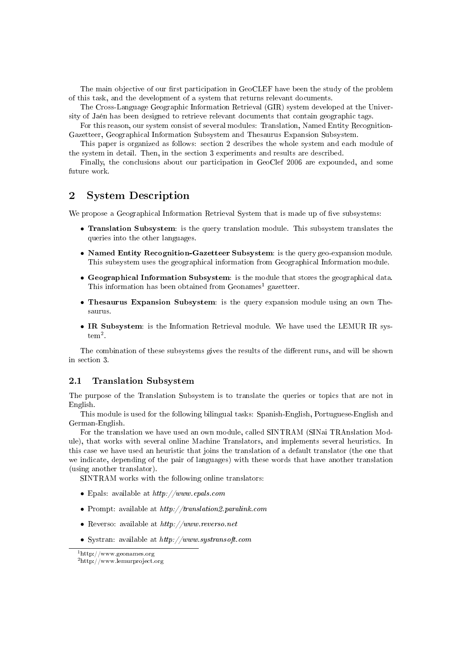The main objective of our first participation in GeoCLEF have been the study of the problem of this task, and the development of a system that returns relevant documents.

The Cross-Language Geographic Information Retrieval (GIR) system developed at the University of Jaén has been designed to retrieve relevant documents that contain geographic tags.

For this reason, our system consist of several modules: Translation, Named Entity Recognition-Gazetteer, Geographical Information Subsystem and Thesaurus Expansion Subsystem.

This paper is organized as follows: section 2 describes the whole system and each module of the system in detail. Then, in the section 3 experiments and results are described.

Finally, the conclusions about our participation in GeoClef 2006 are expounded, and some future work.

# 2 System Description

We propose a Geographical Information Retrieval System that is made up of five subsystems:

- Translation Subsystem: is the query translation module. This subsystem translates the queries into the other languages.
- Named Entity Recognition-Gazetteer Subsystem: is the query geo-expansion module. This subsystem uses the geographical information from Geographical Information module.
- Geographical Information Subsystem: is the module that stores the geographical data. This information has been obtained from  $Geonames<sup>1</sup>$  gazetteer.
- Thesaurus Expansion Subsystem: is the query expansion module using an own Thesaurus.
- IR Subsystem: is the Information Retrieval module. We have used the LEMUR IR sys $tem^2$ .

The combination of these subsystems gives the results of the different runs, and will be shown in section 3.

# 2.1 Translation Subsystem

The purpose of the Translation Subsystem is to translate the queries or topics that are not in English.

This module is used for the following bilingual tasks: Spanish-English, Portuguese-English and German-English.

For the translation we have used an own module, called SINTRAM (SINai TRAnslation Module), that works with several online Machine Translators, and implements several heuristics. In this case we have used an heuristic that joins the translation of a default translator (the one that we indicate, depending of the pair of languages) with these words that have another translation (using another translator).

SINTRAM works with the following online translators:

- Epals: available at  $http://www.epals.com$
- Prompt: available at  $http://translation2paralink.com$
- Reverso: available at  $http://www.reverso.net$
- Systran: available at  $http://www.systransoft.com$

<sup>1</sup>http://www.geonames.org

<sup>2</sup>http://www.lemurproject.org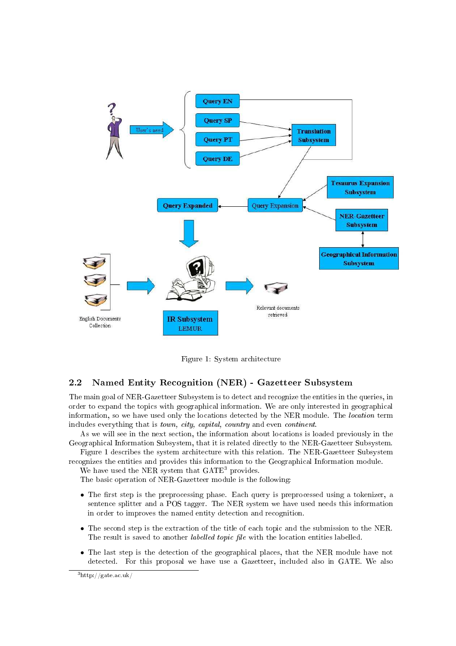

Figure 1: System architecture

# 2.2 Named Entity Recognition (NER) - Gazetteer Subsystem

The main goal of NER-Gazetteer Subsystem is to detect and recognize the entities in the queries, in order to expand the topics with geographical information. We are only interested in geographical information, so we have used only the locations detected by the NER module. The location term includes everything that is town, city, capital, country and even continent.

As we will see in the next section, the information about locations is loaded previously in the Geographical Information Subsystem, that it is related directly to the NER-Gazetteer Subsystem.

Figure 1 describes the system architecture with this relation. The NER-Gazetteer Subsystem recognizes the entities and provides this information to the Geographical Information module.

We have used the NER system that GATE<sup>3</sup> provides.

The basic operation of NER-Gazetteer module is the following:

- The first step is the preprocessing phase. Each query is preprocessed using a tokenizer, a sentence splitter and a POS tagger. The NER system we have used needs this information in order to improves the named entity detection and recognition.
- The second step is the extraction of the title of each topic and the submission to the NER. The result is saved to another *labelled topic file* with the location entities labelled.
- The last step is the detection of the geographical places, that the NER module have not detected. For this proposal we have use a Gazetteer, included also in GATE. We also

<sup>3</sup>http://gate.ac.uk/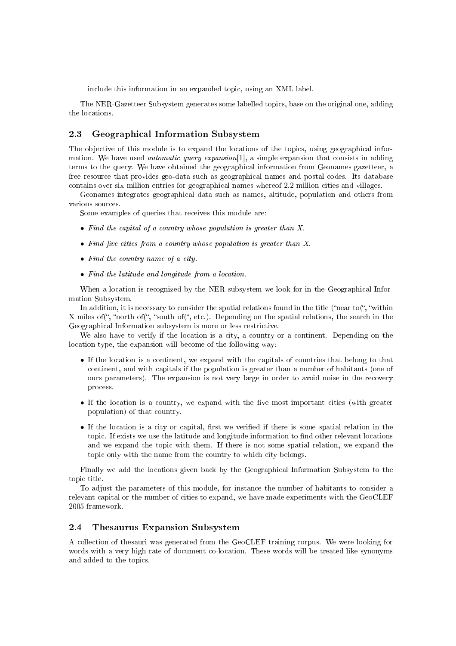include this information in an expanded topic, using an XML label.

The NER-Gazetteer Subsystem generates some labelled topics, base on the original one, adding the locations.

## 2.3 Geographical Information Subsystem

The objective of this module is to expand the locations of the topics, using geographical information. We have used *automatic query expansion*[1], a simple expansion that consists in adding terms to the query. We have obtained the geographical information from Geonames gazetteer, a free resource that provides geo-data such as geographical names and postal codes. Its database contains over six million entries for geographical names whereof 2.2 million cities and villages.

Geonames integrates geographical data such as names, altitude, population and others from various sources.

Some examples of queries that receives this module are:

- Find the capital of a country whose population is greater than X.
- Find five cities from a country whose population is greater than  $X$ .
- Find the country name of a city.
- Find the latitude and longitude from a location.

When a location is recognized by the NER subsystem we look for in the Geographical Information Subsystem.

In addition, it is necessary to consider the spatial relations found in the title ("near to(", "within X miles of ", "north of ", "south of ", etc.). Depending on the spatial relations, the search in the Geographical Information subsystem is more or less restrictive.

We also have to verify if the location is a city, a country or a continent. Depending on the location type, the expansion will become of the following way:

- If the location is a continent, we expand with the capitals of countries that belong to that continent, and with capitals if the population is greater than a number of habitants (one of ours parameters). The expansion is not very large in order to avoid noise in the recovery process.
- $\bullet$  If the location is a country, we expand with the five most important cities (with greater population) of that country.
- If the location is a city or capital, first we verified if there is some spatial relation in the topic. If exists we use the latitude and longitude information to find other relevant locations and we expand the topic with them. If there is not some spatial relation, we expand the topic only with the name from the country to which city belongs.

Finally we add the locations given back by the Geographical Information Subsystem to the topic title.

To adjust the parameters of this module, for instance the number of habitants to consider a relevant capital or the number of cities to expand, we have made experiments with the GeoCLEF 2005 framework.

# 2.4 Thesaurus Expansion Subsystem

A collection of thesauri was generated from the GeoCLEF training corpus. We were looking for words with a very high rate of document co-location. These words will be treated like synonyms and added to the topics.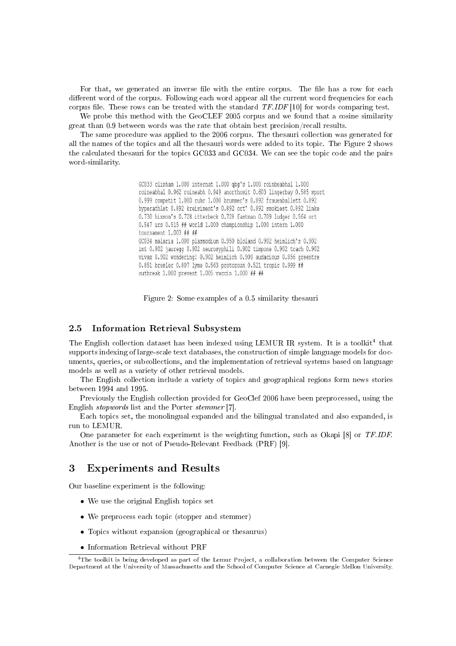For that, we generated an inverse file with the entire corpus. The file has a row for each different word of the corpus. Following each word appear all the current word frequencies for each corpus file. These rows can be treated with the standard  $TF.IDF$  [10] for words comparing test.

We probe this method with the GeoCLEF 2005 corpus and we found that a cosine similarity great than 0.9 between words was the rate that obtain best precision/recall results.

The same procedure was applied to the 2006 corpus. The thesauri collection was generated for all the names of the topics and all the thesauri words were added to its topic. The Figure 2 shows the calculated thesauri for the topics GC033 and GC034. We can see the topic code and the pairs word-similarity.

> GC033 clisham 1.000 internat 1.000 gbg's 1.000 roinbeabhal 1.000 roineabhal 0.962 roineabh 0.949 anorthosit 0.603 lingerbay 0.585 sport 0.999 competit 1.000 ruhr 1.000 brummer's 0.892 frauenballett 0.892 hyperathlet 0.892 kreisiment's 0.892 ort' 0.892 smokiest 0.892 linke 0.730 hixson's 0.728 itterbeck 0.728 fastman 0.709 ludger 0.564 ort 0.547 urs 0.515 ## world 1.000 championship 1.000 intern 1.000 tournament 1.003 ## ## GC034 malaria 1.000 plasmodium 0.950 bloland 0.902 heimlich's 0.902 imt 0.902 jauregg 0.902 neurosyphili 0.902 timpone 0.902 trach 0.902 vivax 0.902 wondering! 0.902 heimlich 0.900 audacious 0.856 greentre 0.851 bresler 0.807 lyme 0.563 protozoan 0.521 tropic 0.999 ## outbreak 1.000 prevent 1.005 vaccin 1.000 ## ##

Figure 2: Some examples of a 0.5 similarity thesauri

#### 2.5 Information Retrieval Subsystem

The English collection dataset has been indexed using LEMUR IR system. It is a toolkit<sup>4</sup> that supports indexing of large-scale text databases, the construction of simple language models for documents, queries, or subcollections, and the implementation of retrieval systems based on language models as well as a variety of other retrieval models.

The English collection include a variety of topics and geographical regions form news stories between 1994 and 1995.

Previously the English collection provided for GeoClef 2006 have been preprocessed, using the English stopwords list and the Porter stemmer [7].

Each topics set, the monolingual expanded and the bilingual translated and also expanded, is run to LEMUR.

One parameter for each experiment is the weighting function, such as Okapi [8] or TF.IDF. Another is the use or not of Pseudo-Relevant Feedback (PRF) [9].

# 3 Experiments and Results

Our baseline experiment is the following:

- We use the original English topics set
- We preprocess each topic (stopper and stemmer)
- Topics without expansion (geographical or thesaurus)
- Information Retrieval without PRF

<sup>4</sup>The toolkit is being developed as part of the Lemur Project, a collaboration between the Computer Science Department at the University of Massachusetts and the School of Computer Science at Carnegie Mellon University.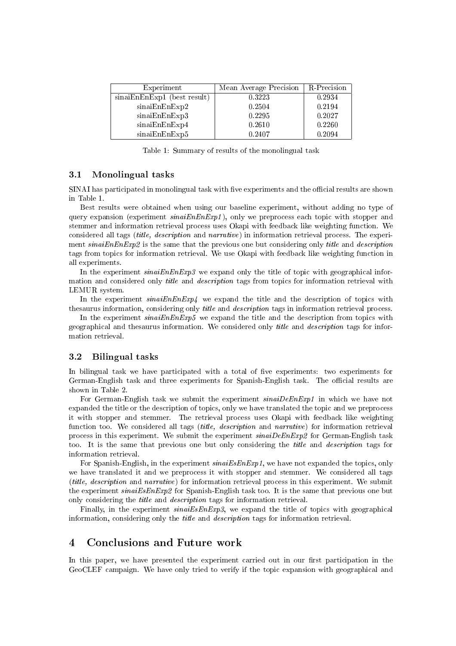| Experiment                  | Mean Average Precision | R-Precision |
|-----------------------------|------------------------|-------------|
| sinaiEnEnExp1 (best result) | 0.3223                 | 0.2934      |
| sinaiEnEnExp2               | 0.2504                 | 0.2194      |
| sinaiEnEnExp3               | 0.2295                 | 0.2027      |
| sinaiEnEnExp4               | 0.2610                 | 0.2260      |
| sinaiEnEnExp5               | 0.2407                 | 0.2094      |

Table 1: Summary of results of the monolingual task

#### 3.1 Monolingual tasks

SINAI has participated in monolingual task with five experiments and the official results are shown in Table 1.

Best results were obtained when using our baseline experiment, without adding no type of query expansion (experiment  $sinaiEnEny1$ ), only we preprocess each topic with stopper and stemmer and information retrieval process uses Okapi with feedback like weighting function. We considered all tags (title, description and narrative) in information retrieval process. The experiment sinaiEnEnExp2 is the same that the previous one but considering only *title* and *description* tags from topics for information retrieval. We use Okapi with feedback like weighting function in all experiments.

In the experiment  $sinaiEnEnExp3$  we expand only the title of topic with geographical information and considered only *title* and *description* tags from topics for information retrieval with LEMUR system.

In the experiment  $sinaiEnExp4$  we expand the title and the description of topics with thesaurus information, considering only title and description tags in information retrieval process.

In the experiment  $sinaiEnExp5$  we expand the title and the description from topics with geographical and thesaurus information. We considered only title and description tags for information retrieval.

#### 3.2 Bilingual tasks

In bilingual task we have participated with a total of five experiments: two experiments for German-English task and three experiments for Spanish-English task. The official results are shown in Table 2.

For German-English task we submit the experiment sinaiDeEnExp1 in which we have not expanded the title or the description of topics, only we have translated the topic and we preprocess it with stopper and stemmer. The retrieval process uses Okapi with feedback like weighting function too. We considered all tags *(title, description* and *narrative)* for information retrieval process in this experiment. We submit the experiment  $sinaiDeEnExp2$  for German-English task too. It is the same that previous one but only considering the title and description tags for information retrieval.

For Spanish-English, in the experiment  $sinaiEsEnExp1$ , we have not expanded the topics, only we have translated it and we preprocess it with stopper and stemmer. We considered all tags (title, description and narrative) for information retrieval process in this experiment. We submit the experiment sinaiEsEnExp2 for Spanish-English task too. It is the same that previous one but only considering the title and description tags for information retrieval.

Finally, in the experiment  $sinaiEsEnExp3$ , we expand the title of topics with geographical information, considering only the title and description tags for information retrieval.

# 4 Conclusions and Future work

In this paper, we have presented the experiment carried out in our first participation in the GeoCLEF campaign. We have only tried to verify if the topic expansion with geographical and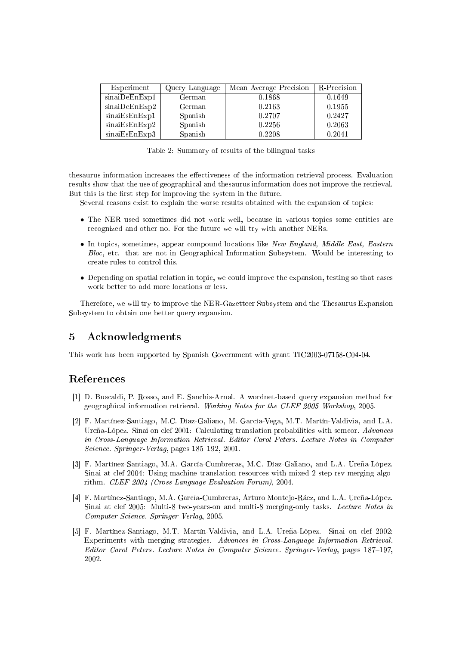| Experiment    | Query Language | Mean Average Precision | R-Precision |
|---------------|----------------|------------------------|-------------|
| sinaiDeEnExp1 | German         | 0.1868                 | 0.1649      |
| sinaiDeEnExp2 | German         | 0.2163                 | 0.1955      |
| sinaiEsEnExp1 | Spanish        | 0.2707                 | 0.2427      |
| sinaiEsEnExp2 | Spanish        | 0.2256                 | 0.2063      |
| sinaiEsEnExp3 | Spanish        | 0.2208                 | 0.2041      |

Table 2: Summary of results of the bilingual tasks

thesaurus information increases the effectiveness of the information retrieval process. Evaluation results show that the use of geographical and thesaurus information does not improve the retrieval. But this is the first step for improving the system in the future.

Several reasons exist to explain the worse results obtained with the expansion of topics:

- The NER used sometimes did not work well, because in various topics some entities are recognized and other no. For the future we will try with another NERs.
- In topics, sometimes, appear compound locations like New England, Middle East, Eastern Bloc, etc. that are not in Geographical Information Subsystem. Would be interesting to create rules to control this.
- Depending on spatial relation in topic, we could improve the expansion, testing so that cases work better to add more locations or less.

Therefore, we will try to improve the NER-Gazetteer Subsystem and the Thesaurus Expansion Subsystem to obtain one better query expansion.

# 5 Acknowledgments

This work has been supported by Spanish Government with grant TIC2003-07158-C04-04.

# References

- [1] D. Buscaldi, P. Rosso, and E. Sanchis-Arnal. A wordnet-based query expansion method for geographical information retrieval. Working Notes for the CLEF 2005 Workshop, 2005.
- [2] F. Martínez-Santiago, M.C. Díaz-Galiano, M. García-Vega, M.T. Martín-Valdivia, and L.A. Ureña-López. Sinai on clef 2001: Calculating translation probabilities with semcor. Advances in Cross-Language Information Retrieval. Editor Carol Peters. Lecture Notes in Computer Science. Springer-Verlag, pages 185–192, 2001.
- [3] F. Martínez-Santiago, M.A. García-Cumbreras, M.C. Díaz-Galiano, and L.A. Ureña-López. Sinai at clef 2004: Using machine translation resources with mixed 2-step rsv merging algorithm. CLEF 2004 (Cross Language Evaluation Forum), 2004.
- [4] F. Martínez-Santiago, M.A. García-Cumbreras, Arturo Montejo-Ráez, and L.A. Ureña-López. Sinai at clef 2005: Multi-8 two-years-on and multi-8 merging-only tasks. Lecture Notes in Computer Science. Springer-Verlag, 2005.
- [5] F. Martínez-Santiago, M.T. Martín-Valdivia, and L.A. Ureña-López. Sinai on clef 2002: Experiments with merging strategies. Advances in Cross-Language Information Retrieval. Editor Carol Peters. Lecture Notes in Computer Science. Springer-Verlag, pages 187-197, 2002.